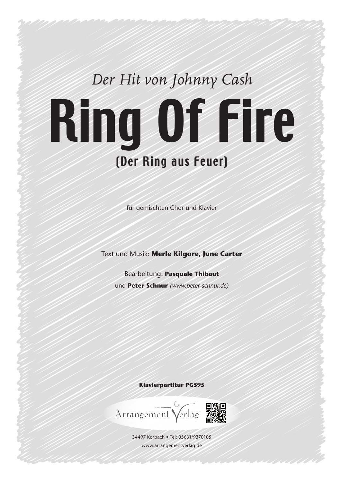## *Der Hit von Johnny Cash* Ring Of Fire (Der Ring aus Feuer)

für gemischten Chor und Klavier

Text und Musik: **Merle Kilgore, June Carter**

Bearbeitung: **Pasquale Thibaut** und **Peter Schnur** *(www.peter-schnur.de)*

**Klavierpartitur PG595**

Arrangement Verlag

34497 Korbach • Tel: 05631/9370105 www.arrangementverlag.de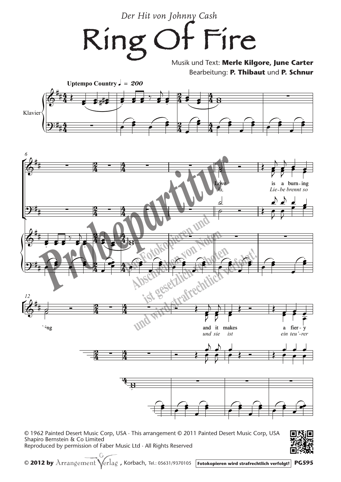Der Hit von Johnny Cash

)t Fire Ring

> Musik und Text: Merle Kilgore, June Carter Bearbeitung: P. Thibaut und P. Schnur





**PG595** 

© 1962 Painted Desert Music Corp, USA · This arrangement © 2011 Painted Desert Music Corp, USA Shapiro Bernstein & Co Limited Reproduced by permission of Faber Music Ltd · All Rights Reserved

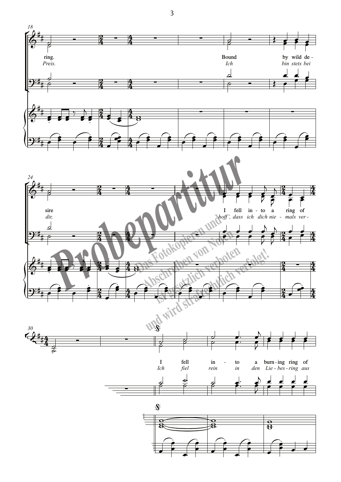

 $\overline{3}$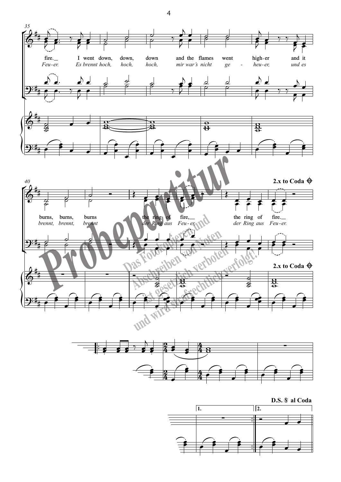





 $\overline{\mathcal{A}}$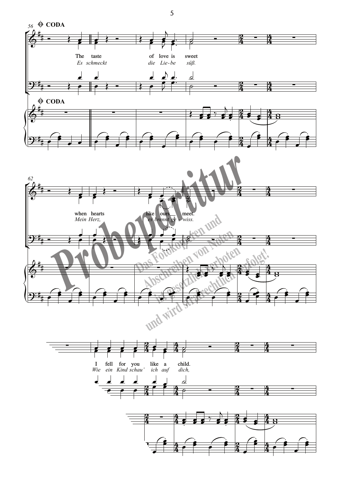